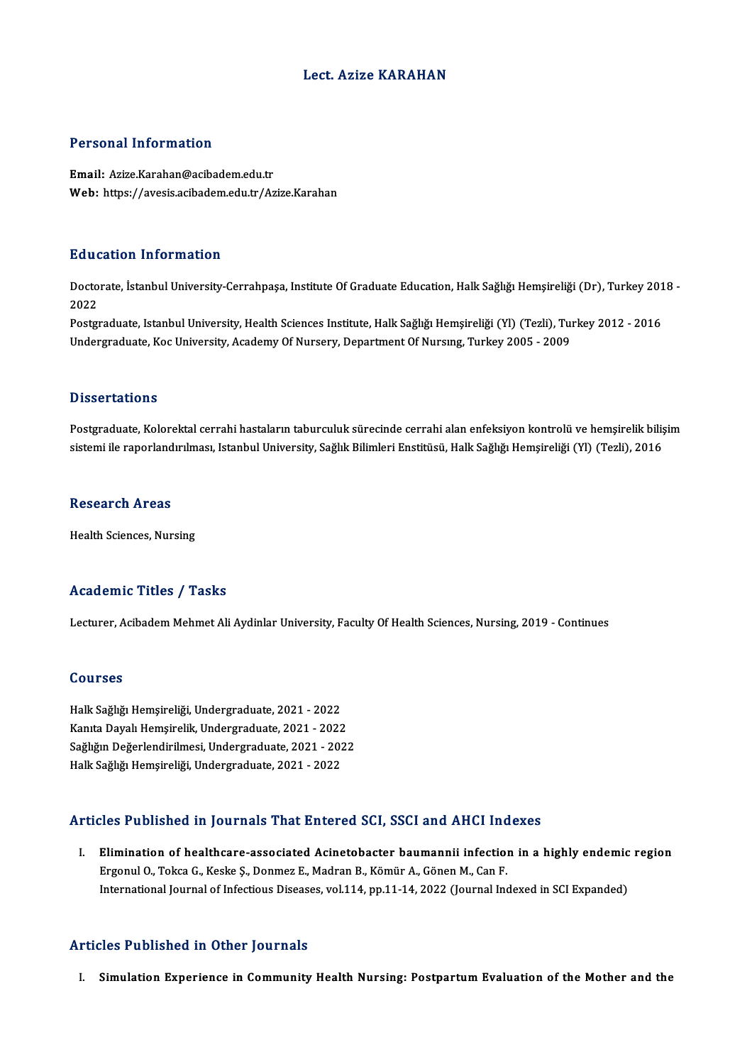### Lect. Azize KARAHAN

#### Personal Information

Email: Azize.Karahan@acibadem.edu.tr Web: https://avesis.acibadem.edu.tr/Azize.Karahan

#### Education Information

**Education Information**<br>Doctorate, İstanbul University-Cerrahpaşa, Institute Of Graduate Education, Halk Sağlığı Hemşireliği (Dr), Turkey 2018 -<br>2022 Data<br>Docto<br>2022 Doctorate, İstanbul University-Cerrahpaşa, Institute Of Graduate Education, Halk Sağlığı Hemşireliği (Dr), Turkey 201<br>2022<br>Postgraduate, Istanbul University, Health Sciences Institute, Halk Sağlığı Hemşireliği (Yl) (Tezli)

2022<br>Postgraduate, Istanbul University, Health Sciences Institute, Halk Sağlığı Hemşireliği (Yl) (Tezli), Tuı<br>Undergraduate, Koc University, Academy Of Nursery, Department Of Nursıng, Turkey 2005 - 2009 Undergraduate, Koc University, Academy Of Nursery, Department Of Nursing, Turkey 2005 - 2009<br>Dissertations

Postgraduate, Kolorektal cerrahi hastaların taburculuk sürecinde cerrahi alan enfeksiyon kontrolü ve hemşirelik bilişim sistemi ile raporlandırılması, Istanbul University, Sağlık Bilimleri Enstitüsü, Halk Sağlığı Hemşireliği (Yl) (Tezli), 2016

#### **Research Areas**

Health Sciences, Nursing

#### Academic Titles / Tasks

Lecturer, Acibadem Mehmet Ali Aydinlar University, Faculty Of Health Sciences, Nursing, 2019 - Continues

#### Courses

HalkSağlığıHemşireliği,Undergraduate,2021 -2022 KanıtaDayalıHemşirelik,Undergraduate,2021 -2022 Halk Sağlığı Hemşireliği, Undergraduate, 2021 - 2022<br>Kanıta Dayalı Hemşirelik, Undergraduate, 2021 - 2022<br>Sağlığın Değerlendirilmesi, Undergraduate, 2021 - 2022<br>Halk Sağlığı Hemsireliği, Undergraduate, 2021 - 2022 Kanıta Dayalı Hemşirelik, Undergraduate, 2021 - 2022<br>Sağlığın Değerlendirilmesi, Undergraduate, 2021 - 202<br>Halk Sağlığı Hemşireliği, Undergraduate, 2021 - 2022

## Halk Sağlığı Hemşireliği, Undergraduate, 2021 - 2022<br>Articles Published in Journals That Entered SCI, SSCI and AHCI Indexes

rticles Published in Journals That Entered SCI, SSCI and AHCI Indexes<br>I. Elimination of healthcare-associated Acinetobacter baumannii infection in a highly endemic region<br>Ensenyl O. Tekse C. Keske S. Denmer E. Medren B. Kö Elimination of healthcare-associated Acinetobacter baumannii infection<br>Ergonul O., Tokca G., Keske Ş., Donmez E., Madran B., Kömür A., Gönen M., Can F.<br>International Journal of Infectious Diseases vol.114, np.11, 14, 2022 Ergonul O., Tokca G., Keske Ş., Donmez E., Madran B., Kömür A., Gönen M., Can F.<br>International Journal of Infectious Diseases, vol.114, pp.11-14, 2022 (Journal Indexed in SCI Expanded)

#### Articles Published in Other Journals

I. Simulation Experience in Community Health Nursing: Postpartum Evaluation of the Mother and the